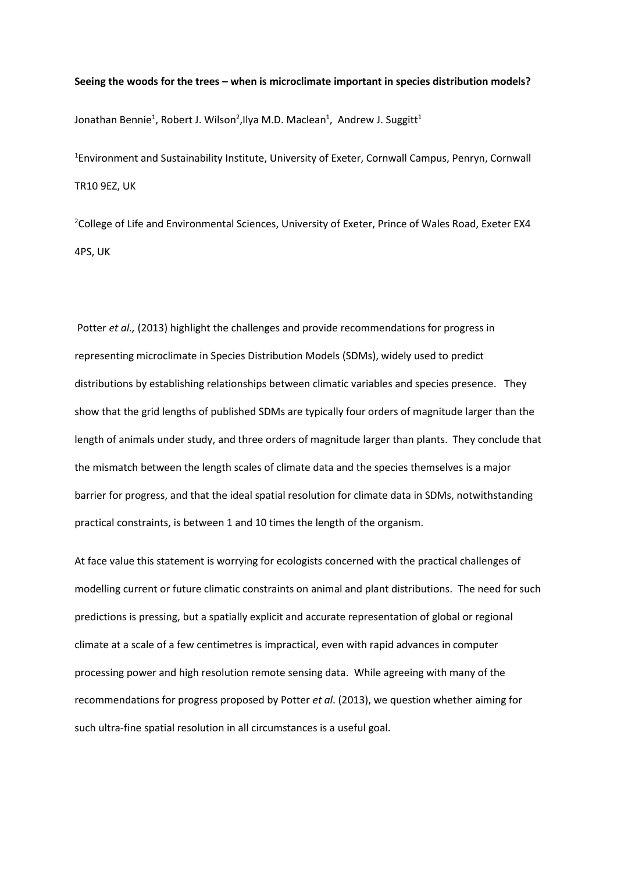## **Seeing the woods for the trees – when is microclimate important in species distribution models?**

Jonathan Bennie<sup>1</sup>, Robert J. Wilson<sup>2</sup>, Ilya M.D. Maclean<sup>1</sup>, Andrew J. Suggitt<sup>1</sup>

<sup>1</sup>Environment and Sustainability Institute, University of Exeter, Cornwall Campus, Penryn, Cornwall TR10 9EZ, UK

<sup>2</sup>College of Life and Environmental Sciences, University of Exeter, Prince of Wales Road, Exeter EX4 4PS, UK

Potter *et al.,* (2013) highlight the challenges and provide recommendations for progress in representing microclimate in Species Distribution Models (SDMs), widely used to predict distributions by establishing relationships between climatic variables and species presence. They show that the grid lengths of published SDMs are typically four orders of magnitude larger than the length of animals under study, and three orders of magnitude larger than plants. They conclude that the mismatch between the length scales of climate data and the species themselves is a major barrier for progress, and that the ideal spatial resolution for climate data in SDMs, notwithstanding practical constraints, is between 1 and 10 times the length of the organism.

At face value this statement is worrying for ecologists concerned with the practical challenges of modelling current or future climatic constraints on animal and plant distributions. The need for such predictions is pressing, but a spatially explicit and accurate representation of global or regional climate at a scale of a few centimetres is impractical, even with rapid advances in computer processing power and high resolution remote sensing data. While agreeing with many of the recommendations for progress proposed by Potter *et al*. (2013), we question whether aiming for such ultra-fine spatial resolution in all circumstances is a useful goal.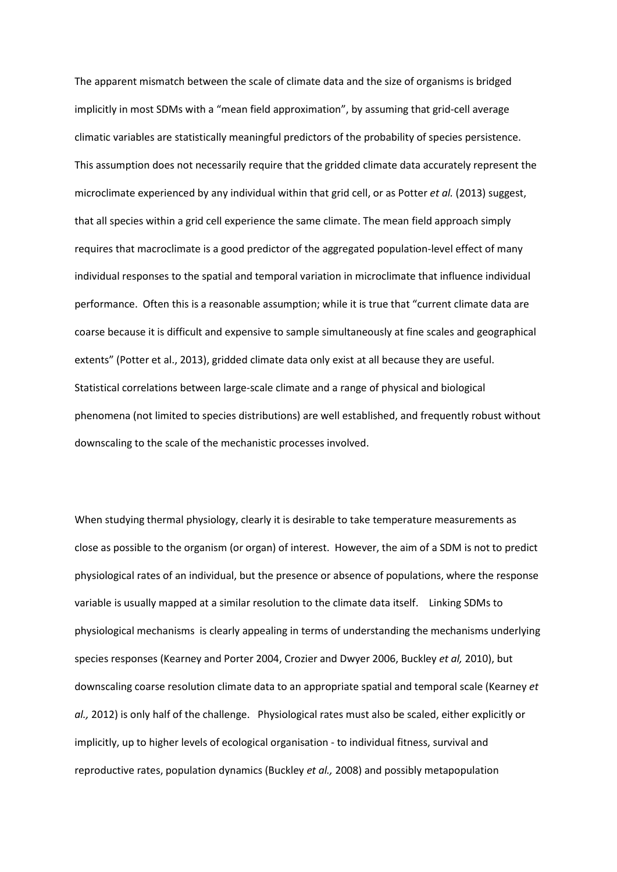The apparent mismatch between the scale of climate data and the size of organisms is bridged implicitly in most SDMs with a "mean field approximation", by assuming that grid-cell average climatic variables are statistically meaningful predictors of the probability of species persistence. This assumption does not necessarily require that the gridded climate data accurately represent the microclimate experienced by any individual within that grid cell, or as Potter *et al.* (2013) suggest, that all species within a grid cell experience the same climate. The mean field approach simply requires that macroclimate is a good predictor of the aggregated population-level effect of many individual responses to the spatial and temporal variation in microclimate that influence individual performance. Often this is a reasonable assumption; while it is true that "current climate data are coarse because it is difficult and expensive to sample simultaneously at fine scales and geographical extents" (Potter et al., 2013), gridded climate data only exist at all because they are useful. Statistical correlations between large-scale climate and a range of physical and biological phenomena (not limited to species distributions) are well established, and frequently robust without downscaling to the scale of the mechanistic processes involved.

When studying thermal physiology, clearly it is desirable to take temperature measurements as close as possible to the organism (or organ) of interest. However, the aim of a SDM is not to predict physiological rates of an individual, but the presence or absence of populations, where the response variable is usually mapped at a similar resolution to the climate data itself. Linking SDMs to physiological mechanisms is clearly appealing in terms of understanding the mechanisms underlying species responses (Kearney and Porter 2004, Crozier and Dwyer 2006, Buckley *et al,* 2010), but downscaling coarse resolution climate data to an appropriate spatial and temporal scale (Kearney *et al.,* 2012) is only half of the challenge. Physiological rates must also be scaled, either explicitly or implicitly, up to higher levels of ecological organisation - to individual fitness, survival and reproductive rates, population dynamics (Buckley *et al.,* 2008) and possibly metapopulation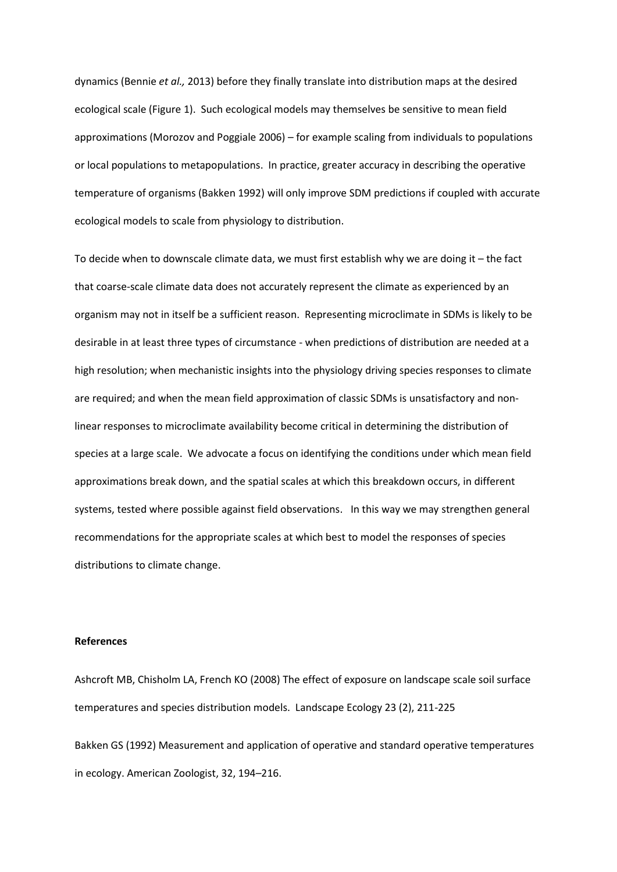dynamics (Bennie *et al.,* 2013) before they finally translate into distribution maps at the desired ecological scale (Figure 1). Such ecological models may themselves be sensitive to mean field approximations (Morozov and Poggiale 2006) – for example scaling from individuals to populations or local populations to metapopulations. In practice, greater accuracy in describing the operative temperature of organisms (Bakken 1992) will only improve SDM predictions if coupled with accurate ecological models to scale from physiology to distribution.

To decide when to downscale climate data, we must first establish why we are doing it – the fact that coarse-scale climate data does not accurately represent the climate as experienced by an organism may not in itself be a sufficient reason. Representing microclimate in SDMs is likely to be desirable in at least three types of circumstance - when predictions of distribution are needed at a high resolution; when mechanistic insights into the physiology driving species responses to climate are required; and when the mean field approximation of classic SDMs is unsatisfactory and nonlinear responses to microclimate availability become critical in determining the distribution of species at a large scale. We advocate a focus on identifying the conditions under which mean field approximations break down, and the spatial scales at which this breakdown occurs, in different systems, tested where possible against field observations. In this way we may strengthen general recommendations for the appropriate scales at which best to model the responses of species distributions to climate change.

## **References**

Ashcroft MB, Chisholm LA, French KO (2008) The effect of exposure on landscape scale soil surface temperatures and species distribution models. Landscape Ecology 23 (2), 211-225

Bakken GS (1992) Measurement and application of operative and standard operative temperatures in ecology. American Zoologist, 32, 194–216.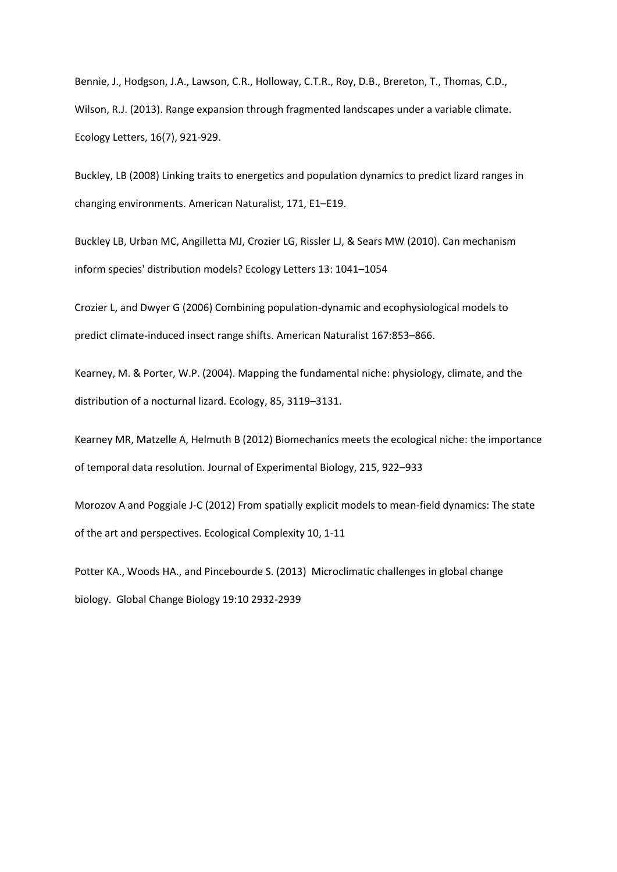Bennie, J., Hodgson, J.A., Lawson, C.R., Holloway, C.T.R., Roy, D.B., Brereton, T., Thomas, C.D., Wilson, R.J. (2013). Range expansion through fragmented landscapes under a variable climate. Ecology Letters, 16(7), 921-929.

Buckley, LB (2008) Linking traits to energetics and population dynamics to predict lizard ranges in changing environments. American Naturalist, 171, E1–E19.

Buckley LB, Urban MC, Angilletta MJ, Crozier LG, Rissler LJ, & Sears MW (2010). Can mechanism inform species' distribution models? Ecology Letters 13: 1041–1054

Crozier L, and Dwyer G (2006) Combining population-dynamic and ecophysiological models to predict climate-induced insect range shifts. American Naturalist 167:853–866.

Kearney, M. & Porter, W.P. (2004). Mapping the fundamental niche: physiology, climate, and the distribution of a nocturnal lizard. Ecology, 85, 3119–3131.

Kearney MR, Matzelle A, Helmuth B (2012) Biomechanics meets the ecological niche: the importance of temporal data resolution. Journal of Experimental Biology, 215, 922–933

Morozov A and Poggiale J-C (2012) From spatially explicit models to mean-field dynamics: The state of the art and perspectives. Ecological Complexity 10, 1-11

Potter KA., Woods HA., and Pincebourde S. (2013) Microclimatic challenges in global change biology. Global Change Biology 19:10 2932-2939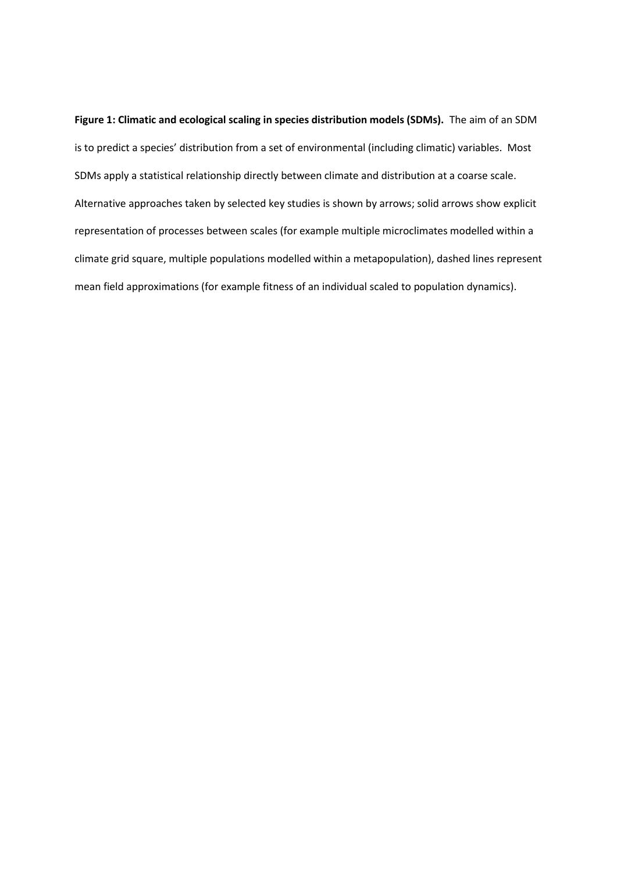**Figure 1: Climatic and ecological scaling in species distribution models (SDMs).** The aim of an SDM is to predict a species' distribution from a set of environmental (including climatic) variables. Most SDMs apply a statistical relationship directly between climate and distribution at a coarse scale. Alternative approaches taken by selected key studies is shown by arrows; solid arrows show explicit representation of processes between scales (for example multiple microclimates modelled within a climate grid square, multiple populations modelled within a metapopulation), dashed lines represent mean field approximations (for example fitness of an individual scaled to population dynamics).